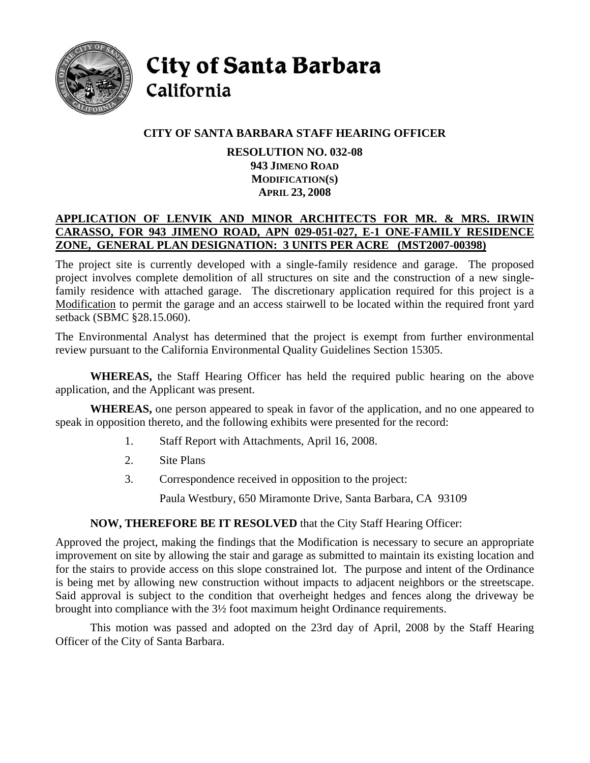

City of Santa Barbara California

# **CITY OF SANTA BARBARA STAFF HEARING OFFICER**

#### **RESOLUTION NO. 032-08 943 JIMENO ROAD MODIFICATION(S) APRIL 23, 2008**

# **APPLICATION OF LENVIK AND MINOR ARCHITECTS FOR MR. & MRS. IRWIN CARASSO, FOR 943 JIMENO ROAD, APN 029-051-027, E-1 ONE-FAMILY RESIDENCE ZONE, GENERAL PLAN DESIGNATION: 3 UNITS PER ACRE (MST2007-00398)**

The project site is currently developed with a single-family residence and garage. The proposed project involves complete demolition of all structures on site and the construction of a new singlefamily residence with attached garage. The discretionary application required for this project is a Modification to permit the garage and an access stairwell to be located within the required front yard setback (SBMC §28.15.060).

The Environmental Analyst has determined that the project is exempt from further environmental review pursuant to the California Environmental Quality Guidelines Section 15305.

**WHEREAS,** the Staff Hearing Officer has held the required public hearing on the above application, and the Applicant was present.

**WHEREAS,** one person appeared to speak in favor of the application, and no one appeared to speak in opposition thereto, and the following exhibits were presented for the record:

- 1. Staff Report with Attachments, April 16, 2008.
- 2. Site Plans
- 3. Correspondence received in opposition to the project:

Paula Westbury, 650 Miramonte Drive, Santa Barbara, CA 93109

### **NOW, THEREFORE BE IT RESOLVED** that the City Staff Hearing Officer:

Approved the project, making the findings that the Modification is necessary to secure an appropriate improvement on site by allowing the stair and garage as submitted to maintain its existing location and for the stairs to provide access on this slope constrained lot. The purpose and intent of the Ordinance is being met by allowing new construction without impacts to adjacent neighbors or the streetscape. Said approval is subject to the condition that overheight hedges and fences along the driveway be brought into compliance with the 3½ foot maximum height Ordinance requirements.

This motion was passed and adopted on the 23rd day of April, 2008 by the Staff Hearing Officer of the City of Santa Barbara.